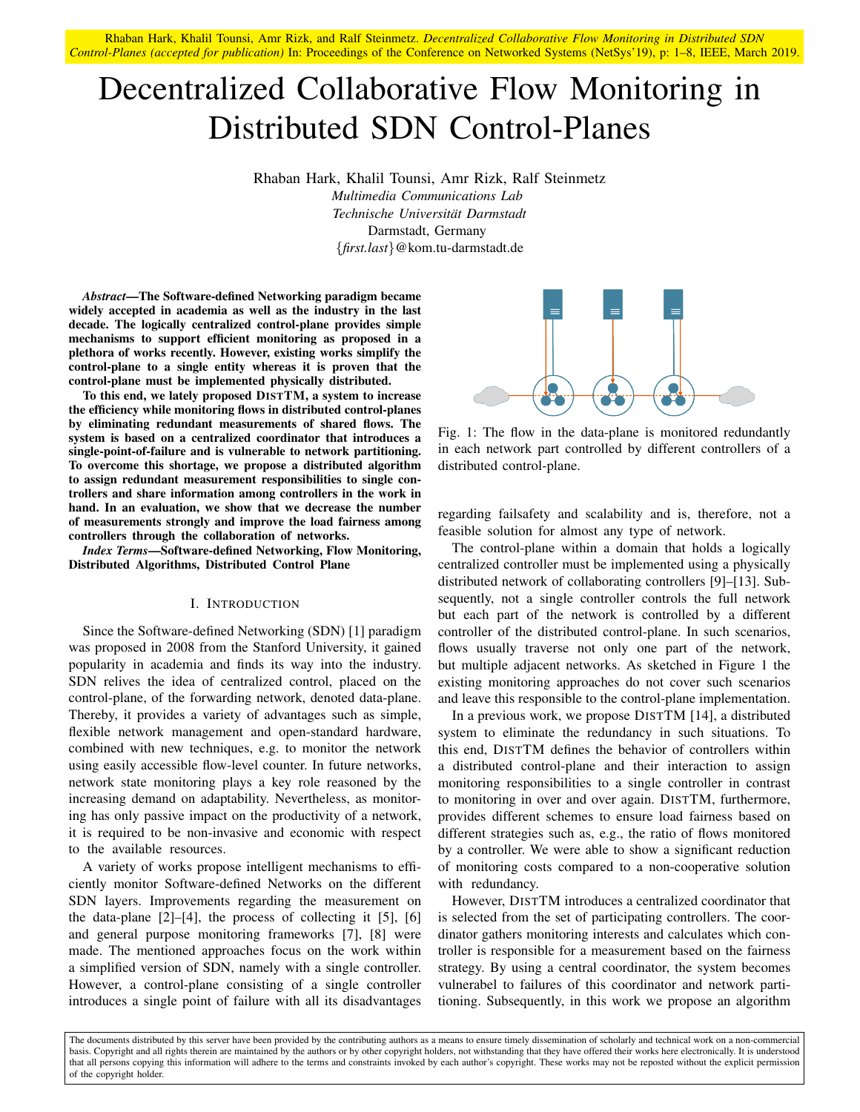# Decentralized Collaborative Flow Monitoring in Distributed SDN Control-Planes

Rhaban Hark, Khalil Tounsi, Amr Rizk, Ralf Steinmetz

*Multimedia Communications Lab Technische Universitat Darmstadt ¨* Darmstadt, Germany {*first.last*}@kom.tu-darmstadt.de

*Abstract*—The Software-defined Networking paradigm became widely accepted in academia as well as the industry in the last decade. The logically centralized control-plane provides simple mechanisms to support efficient monitoring as proposed in a plethora of works recently. However, existing works simplify the control-plane to a single entity whereas it is proven that the control-plane must be implemented physically distributed.

To this end, we lately proposed DISTTM, a system to increase the efficiency while monitoring flows in distributed control-planes by eliminating redundant measurements of shared flows. The system is based on a centralized coordinator that introduces a single-point-of-failure and is vulnerable to network partitioning. To overcome this shortage, we propose a distributed algorithm to assign redundant measurement responsibilities to single controllers and share information among controllers in the work in hand. In an evaluation, we show that we decrease the number of measurements strongly and improve the load fairness among controllers through the collaboration of networks.

*Index Terms*—Software-defined Networking, Flow Monitoring, Distributed Algorithms, Distributed Control Plane

## I. INTRODUCTION

Since the Software-defined Networking (SDN) [1] paradigm was proposed in 2008 from the Stanford University, it gained popularity in academia and finds its way into the industry. SDN relives the idea of centralized control, placed on the control-plane, of the forwarding network, denoted data-plane. Thereby, it provides a variety of advantages such as simple, flexible network management and open-standard hardware, combined with new techniques, e.g. to monitor the network using easily accessible flow-level counter. In future networks, network state monitoring plays a key role reasoned by the increasing demand on adaptability. Nevertheless, as monitoring has only passive impact on the productivity of a network, it is required to be non-invasive and economic with respect to the available resources.

A variety of works propose intelligent mechanisms to efficiently monitor Software-defined Networks on the different SDN layers. Improvements regarding the measurement on the data-plane [2]–[4], the process of collecting it [5], [6] and general purpose monitoring frameworks [7], [8] were made. The mentioned approaches focus on the work within a simplified version of SDN, namely with a single controller. However, a control-plane consisting of a single controller introduces a single point of failure with all its disadvantages



Fig. 1: The flow in the data-plane is monitored redundantly in each network part controlled by different controllers of a distributed control-plane.

regarding failsafety and scalability and is, therefore, not a feasible solution for almost any type of network.

The control-plane within a domain that holds a logically centralized controller must be implemented using a physically distributed network of collaborating controllers [9]–[13]. Subsequently, not a single controller controls the full network but each part of the network is controlled by a different controller of the distributed control-plane. In such scenarios, flows usually traverse not only one part of the network, but multiple adjacent networks. As sketched in Figure 1 the existing monitoring approaches do not cover such scenarios and leave this responsible to the control-plane implementation.

In a previous work, we propose DISTTM [14], a distributed system to eliminate the redundancy in such situations. To this end, DISTTM defines the behavior of controllers within a distributed control-plane and their interaction to assign monitoring responsibilities to a single controller in contrast to monitoring in over and over again. DISTTM, furthermore, provides different schemes to ensure load fairness based on different strategies such as, e.g., the ratio of flows monitored by a controller. We were able to show a significant reduction of monitoring costs compared to a non-cooperative solution with redundancy.

However, DISTTM introduces a centralized coordinator that is selected from the set of participating controllers. The coordinator gathers monitoring interests and calculates which controller is responsible for a measurement based on the fairness strategy. By using a central coordinator, the system becomes vulnerabel to failures of this coordinator and network partitioning. Subsequently, in this work we propose an algorithm

The documents distributed by this server have been provided by the contributing authors as a means to ensure timely dissemination of scholarly and technical work on a non-commercial basis. Copyright and all rights therein are maintained by the authors or by other copyright holders, not withstanding that they have offered their works here electronically. It is understood that all persons copying this information will adhere to the terms and constraints invoked by each author's copyright. These works may not be reposted without the explicit permission of the copyright holder.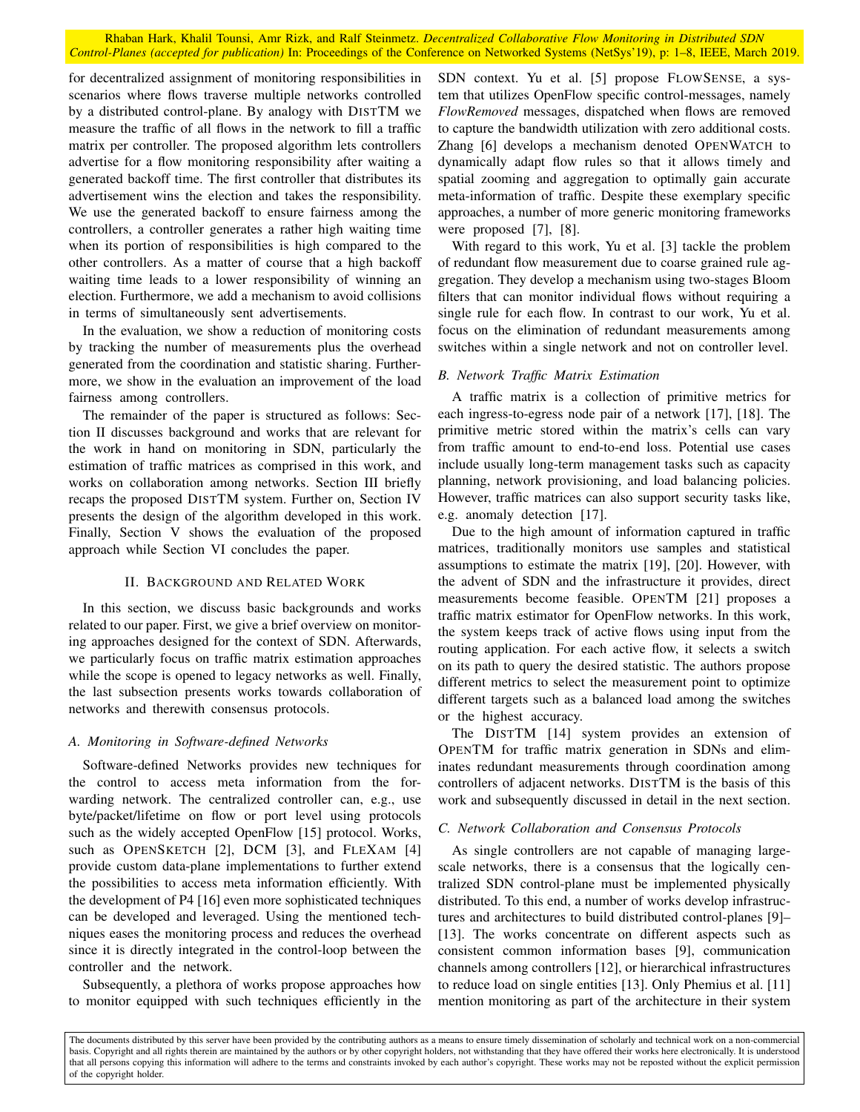for decentralized assignment of monitoring responsibilities in scenarios where flows traverse multiple networks controlled by a distributed control-plane. By analogy with DISTTM we measure the traffic of all flows in the network to fill a traffic matrix per controller. The proposed algorithm lets controllers advertise for a flow monitoring responsibility after waiting a generated backoff time. The first controller that distributes its advertisement wins the election and takes the responsibility. We use the generated backoff to ensure fairness among the controllers, a controller generates a rather high waiting time when its portion of responsibilities is high compared to the other controllers. As a matter of course that a high backoff waiting time leads to a lower responsibility of winning an election. Furthermore, we add a mechanism to avoid collisions in terms of simultaneously sent advertisements.

In the evaluation, we show a reduction of monitoring costs by tracking the number of measurements plus the overhead generated from the coordination and statistic sharing. Furthermore, we show in the evaluation an improvement of the load fairness among controllers.

The remainder of the paper is structured as follows: Section II discusses background and works that are relevant for the work in hand on monitoring in SDN, particularly the estimation of traffic matrices as comprised in this work, and works on collaboration among networks. Section III briefly recaps the proposed DISTTM system. Further on, Section IV presents the design of the algorithm developed in this work. Finally, Section V shows the evaluation of the proposed approach while Section VI concludes the paper.

#### II. BACKGROUND AND RELATED WORK

In this section, we discuss basic backgrounds and works related to our paper. First, we give a brief overview on monitoring approaches designed for the context of SDN. Afterwards, we particularly focus on traffic matrix estimation approaches while the scope is opened to legacy networks as well. Finally, the last subsection presents works towards collaboration of networks and therewith consensus protocols.

# *A. Monitoring in Software-defined Networks*

Software-defined Networks provides new techniques for the control to access meta information from the forwarding network. The centralized controller can, e.g., use byte/packet/lifetime on flow or port level using protocols such as the widely accepted OpenFlow [15] protocol. Works, such as OPENSKETCH [2], DCM [3], and FLEXAM [4] provide custom data-plane implementations to further extend the possibilities to access meta information efficiently. With the development of P4 [16] even more sophisticated techniques can be developed and leveraged. Using the mentioned techniques eases the monitoring process and reduces the overhead since it is directly integrated in the control-loop between the controller and the network.

Subsequently, a plethora of works propose approaches how to monitor equipped with such techniques efficiently in the SDN context. Yu et al. [5] propose FLOWSENSE, a system that utilizes OpenFlow specific control-messages, namely *FlowRemoved* messages, dispatched when flows are removed to capture the bandwidth utilization with zero additional costs. Zhang [6] develops a mechanism denoted OPENWATCH to dynamically adapt flow rules so that it allows timely and spatial zooming and aggregation to optimally gain accurate meta-information of traffic. Despite these exemplary specific approaches, a number of more generic monitoring frameworks were proposed [7], [8].

With regard to this work, Yu et al. [3] tackle the problem of redundant flow measurement due to coarse grained rule aggregation. They develop a mechanism using two-stages Bloom filters that can monitor individual flows without requiring a single rule for each flow. In contrast to our work, Yu et al. focus on the elimination of redundant measurements among switches within a single network and not on controller level.

# *B. Network Traffic Matrix Estimation*

A traffic matrix is a collection of primitive metrics for each ingress-to-egress node pair of a network [17], [18]. The primitive metric stored within the matrix's cells can vary from traffic amount to end-to-end loss. Potential use cases include usually long-term management tasks such as capacity planning, network provisioning, and load balancing policies. However, traffic matrices can also support security tasks like, e.g. anomaly detection [17].

Due to the high amount of information captured in traffic matrices, traditionally monitors use samples and statistical assumptions to estimate the matrix [19], [20]. However, with the advent of SDN and the infrastructure it provides, direct measurements become feasible. OPENTM [21] proposes a traffic matrix estimator for OpenFlow networks. In this work, the system keeps track of active flows using input from the routing application. For each active flow, it selects a switch on its path to query the desired statistic. The authors propose different metrics to select the measurement point to optimize different targets such as a balanced load among the switches or the highest accuracy.

The DISTTM [14] system provides an extension of OPENTM for traffic matrix generation in SDNs and eliminates redundant measurements through coordination among controllers of adjacent networks. DISTTM is the basis of this work and subsequently discussed in detail in the next section.

# *C. Network Collaboration and Consensus Protocols*

As single controllers are not capable of managing largescale networks, there is a consensus that the logically centralized SDN control-plane must be implemented physically distributed. To this end, a number of works develop infrastructures and architectures to build distributed control-planes [9]– [13]. The works concentrate on different aspects such as consistent common information bases [9], communication channels among controllers [12], or hierarchical infrastructures to reduce load on single entities [13]. Only Phemius et al. [11] mention monitoring as part of the architecture in their system

The documents distributed by this server have been provided by the contributing authors as a means to ensure timely dissemination of scholarly and technical work on a non-commercial basis. Copyright and all rights therein are maintained by the authors or by other copyright holders, not withstanding that they have offered their works here electronically. It is understood that all persons copying this information will adhere to the terms and constraints invoked by each author's copyright. These works may not be reposted without the explicit permission of the copyright holder.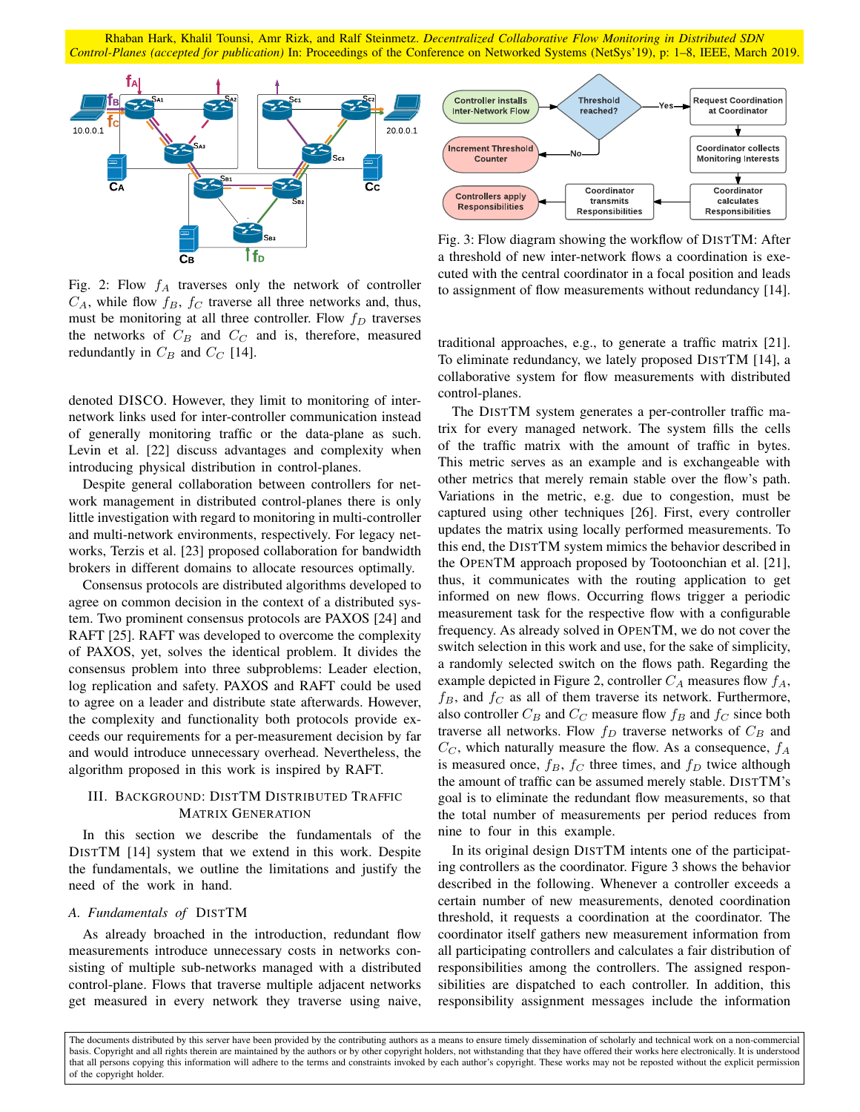

Fig. 2: Flow  $f_A$  traverses only the network of controller  $C_A$ , while flow  $f_B$ ,  $f_C$  traverse all three networks and, thus, must be monitoring at all three controller. Flow  $f_D$  traverses the networks of  $C_B$  and  $C_C$  and is, therefore, measured redundantly in  $C_B$  and  $C_C$  [14].

denoted DISCO. However, they limit to monitoring of internetwork links used for inter-controller communication instead of generally monitoring traffic or the data-plane as such. Levin et al. [22] discuss advantages and complexity when introducing physical distribution in control-planes.

Despite general collaboration between controllers for network management in distributed control-planes there is only little investigation with regard to monitoring in multi-controller and multi-network environments, respectively. For legacy networks, Terzis et al. [23] proposed collaboration for bandwidth brokers in different domains to allocate resources optimally.

Consensus protocols are distributed algorithms developed to agree on common decision in the context of a distributed system. Two prominent consensus protocols are PAXOS [24] and RAFT [25]. RAFT was developed to overcome the complexity of PAXOS, yet, solves the identical problem. It divides the consensus problem into three subproblems: Leader election, log replication and safety. PAXOS and RAFT could be used to agree on a leader and distribute state afterwards. However, the complexity and functionality both protocols provide exceeds our requirements for a per-measurement decision by far and would introduce unnecessary overhead. Nevertheless, the algorithm proposed in this work is inspired by RAFT.

# III. BACKGROUND: DISTTM DISTRIBUTED TRAFFIC MATRIX GENERATION

In this section we describe the fundamentals of the DISTTM [14] system that we extend in this work. Despite the fundamentals, we outline the limitations and justify the need of the work in hand.

# *A. Fundamentals of* DISTTM

As already broached in the introduction, redundant flow measurements introduce unnecessary costs in networks consisting of multiple sub-networks managed with a distributed control-plane. Flows that traverse multiple adjacent networks get measured in every network they traverse using naive,



Fig. 3: Flow diagram showing the workflow of DISTTM: After a threshold of new inter-network flows a coordination is executed with the central coordinator in a focal position and leads to assignment of flow measurements without redundancy [14].

traditional approaches, e.g., to generate a traffic matrix [21]. To eliminate redundancy, we lately proposed DISTTM [14], a collaborative system for flow measurements with distributed control-planes.

The DISTTM system generates a per-controller traffic matrix for every managed network. The system fills the cells of the traffic matrix with the amount of traffic in bytes. This metric serves as an example and is exchangeable with other metrics that merely remain stable over the flow's path. Variations in the metric, e.g. due to congestion, must be captured using other techniques [26]. First, every controller updates the matrix using locally performed measurements. To this end, the DISTTM system mimics the behavior described in the OPENTM approach proposed by Tootoonchian et al. [21], thus, it communicates with the routing application to get informed on new flows. Occurring flows trigger a periodic measurement task for the respective flow with a configurable frequency. As already solved in OPENTM, we do not cover the switch selection in this work and use, for the sake of simplicity, a randomly selected switch on the flows path. Regarding the example depicted in Figure 2, controller  $C_A$  measures flow  $f_A$ ,  $f_B$ , and  $f_C$  as all of them traverse its network. Furthermore, also controller  $C_B$  and  $C_C$  measure flow  $f_B$  and  $f_C$  since both traverse all networks. Flow  $f_D$  traverse networks of  $C_B$  and  $C<sub>C</sub>$ , which naturally measure the flow. As a consequence,  $f<sub>A</sub>$ is measured once,  $f_B$ ,  $f_C$  three times, and  $f_D$  twice although the amount of traffic can be assumed merely stable. DISTTM's goal is to eliminate the redundant flow measurements, so that the total number of measurements per period reduces from nine to four in this example.

In its original design DISTTM intents one of the participating controllers as the coordinator. Figure 3 shows the behavior described in the following. Whenever a controller exceeds a certain number of new measurements, denoted coordination threshold, it requests a coordination at the coordinator. The coordinator itself gathers new measurement information from all participating controllers and calculates a fair distribution of responsibilities among the controllers. The assigned responsibilities are dispatched to each controller. In addition, this responsibility assignment messages include the information

The documents distributed by this server have been provided by the contributing authors as a means to ensure timely dissemination of scholarly and technical work on a non-commercial basis. Copyright and all rights therein are maintained by the authors or by other copyright holders, not withstanding that they have offered their works here electronically. It is understood that all persons copying this information will adhere to the terms and constraints invoked by each author's copyright. These works may not be reposted without the explicit permission of the copyright holder.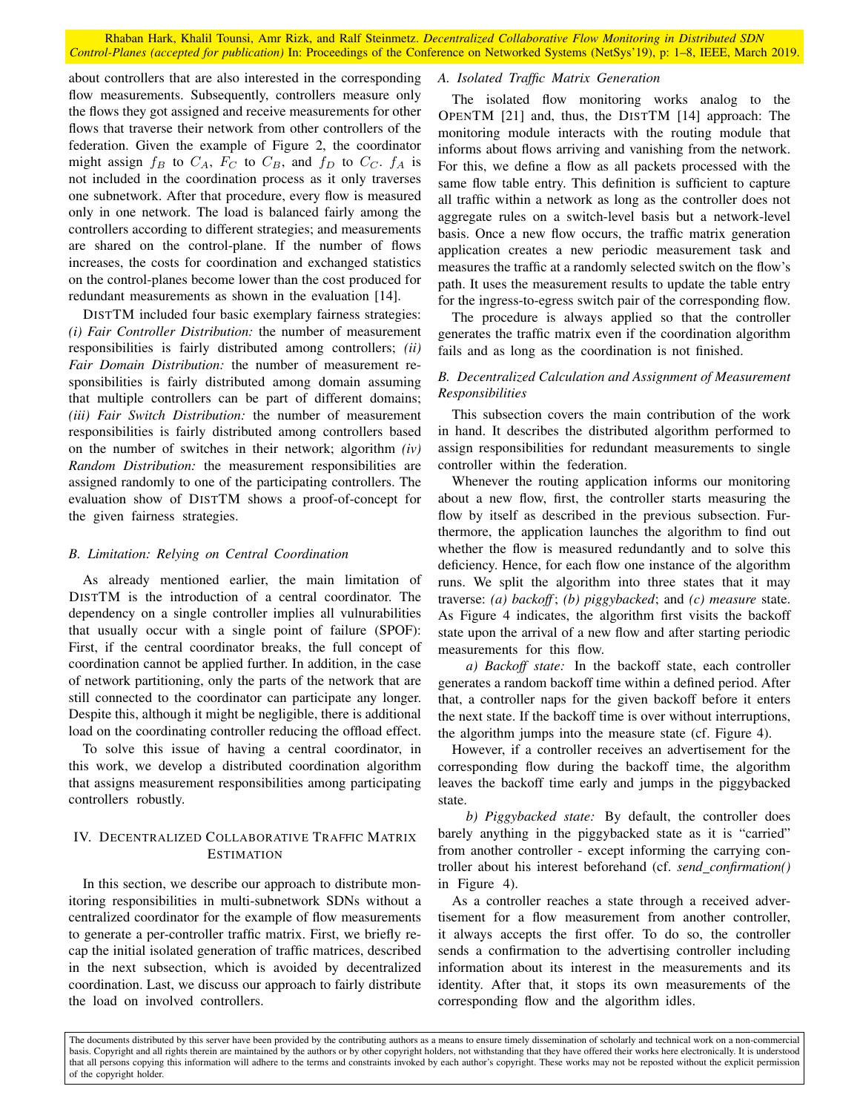about controllers that are also interested in the corresponding flow measurements. Subsequently, controllers measure only the flows they got assigned and receive measurements for other flows that traverse their network from other controllers of the federation. Given the example of Figure 2, the coordinator might assign  $f_B$  to  $C_A$ ,  $F_C$  to  $C_B$ , and  $f_D$  to  $C_C$ .  $f_A$  is not included in the coordination process as it only traverses one subnetwork. After that procedure, every flow is measured only in one network. The load is balanced fairly among the controllers according to different strategies; and measurements are shared on the control-plane. If the number of flows increases, the costs for coordination and exchanged statistics on the control-planes become lower than the cost produced for redundant measurements as shown in the evaluation [14].

DISTTM included four basic exemplary fairness strategies: *(i) Fair Controller Distribution:* the number of measurement responsibilities is fairly distributed among controllers; *(ii) Fair Domain Distribution:* the number of measurement responsibilities is fairly distributed among domain assuming that multiple controllers can be part of different domains; *(iii) Fair Switch Distribution:* the number of measurement responsibilities is fairly distributed among controllers based on the number of switches in their network; algorithm *(iv) Random Distribution:* the measurement responsibilities are assigned randomly to one of the participating controllers. The evaluation show of DISTTM shows a proof-of-concept for the given fairness strategies.

#### *B. Limitation: Relying on Central Coordination*

As already mentioned earlier, the main limitation of DISTTM is the introduction of a central coordinator. The dependency on a single controller implies all vulnurabilities that usually occur with a single point of failure (SPOF): First, if the central coordinator breaks, the full concept of coordination cannot be applied further. In addition, in the case of network partitioning, only the parts of the network that are still connected to the coordinator can participate any longer. Despite this, although it might be negligible, there is additional load on the coordinating controller reducing the offload effect.

To solve this issue of having a central coordinator, in this work, we develop a distributed coordination algorithm that assigns measurement responsibilities among participating controllers robustly.

## IV. DECENTRALIZED COLLABORATIVE TRAFFIC MATRIX **ESTIMATION**

In this section, we describe our approach to distribute monitoring responsibilities in multi-subnetwork SDNs without a centralized coordinator for the example of flow measurements to generate a per-controller traffic matrix. First, we briefly recap the initial isolated generation of traffic matrices, described in the next subsection, which is avoided by decentralized coordination. Last, we discuss our approach to fairly distribute the load on involved controllers.

## *A. Isolated Traffic Matrix Generation*

The isolated flow monitoring works analog to the OPENTM [21] and, thus, the DISTTM [14] approach: The monitoring module interacts with the routing module that informs about flows arriving and vanishing from the network. For this, we define a flow as all packets processed with the same flow table entry. This definition is sufficient to capture all traffic within a network as long as the controller does not aggregate rules on a switch-level basis but a network-level basis. Once a new flow occurs, the traffic matrix generation application creates a new periodic measurement task and measures the traffic at a randomly selected switch on the flow's path. It uses the measurement results to update the table entry for the ingress-to-egress switch pair of the corresponding flow.

The procedure is always applied so that the controller generates the traffic matrix even if the coordination algorithm fails and as long as the coordination is not finished.

# *B. Decentralized Calculation and Assignment of Measurement Responsibilities*

This subsection covers the main contribution of the work in hand. It describes the distributed algorithm performed to assign responsibilities for redundant measurements to single controller within the federation.

Whenever the routing application informs our monitoring about a new flow, first, the controller starts measuring the flow by itself as described in the previous subsection. Furthermore, the application launches the algorithm to find out whether the flow is measured redundantly and to solve this deficiency. Hence, for each flow one instance of the algorithm runs. We split the algorithm into three states that it may traverse: *(a) backoff* ; *(b) piggybacked*; and *(c) measure* state. As Figure 4 indicates, the algorithm first visits the backoff state upon the arrival of a new flow and after starting periodic measurements for this flow.

*a) Backoff state:* In the backoff state, each controller generates a random backoff time within a defined period. After that, a controller naps for the given backoff before it enters the next state. If the backoff time is over without interruptions, the algorithm jumps into the measure state (cf. Figure 4).

However, if a controller receives an advertisement for the corresponding flow during the backoff time, the algorithm leaves the backoff time early and jumps in the piggybacked state.

*b) Piggybacked state:* By default, the controller does barely anything in the piggybacked state as it is "carried" from another controller - except informing the carrying controller about his interest beforehand (cf. *send confirmation()* in Figure 4).

As a controller reaches a state through a received advertisement for a flow measurement from another controller, it always accepts the first offer. To do so, the controller sends a confirmation to the advertising controller including information about its interest in the measurements and its identity. After that, it stops its own measurements of the corresponding flow and the algorithm idles.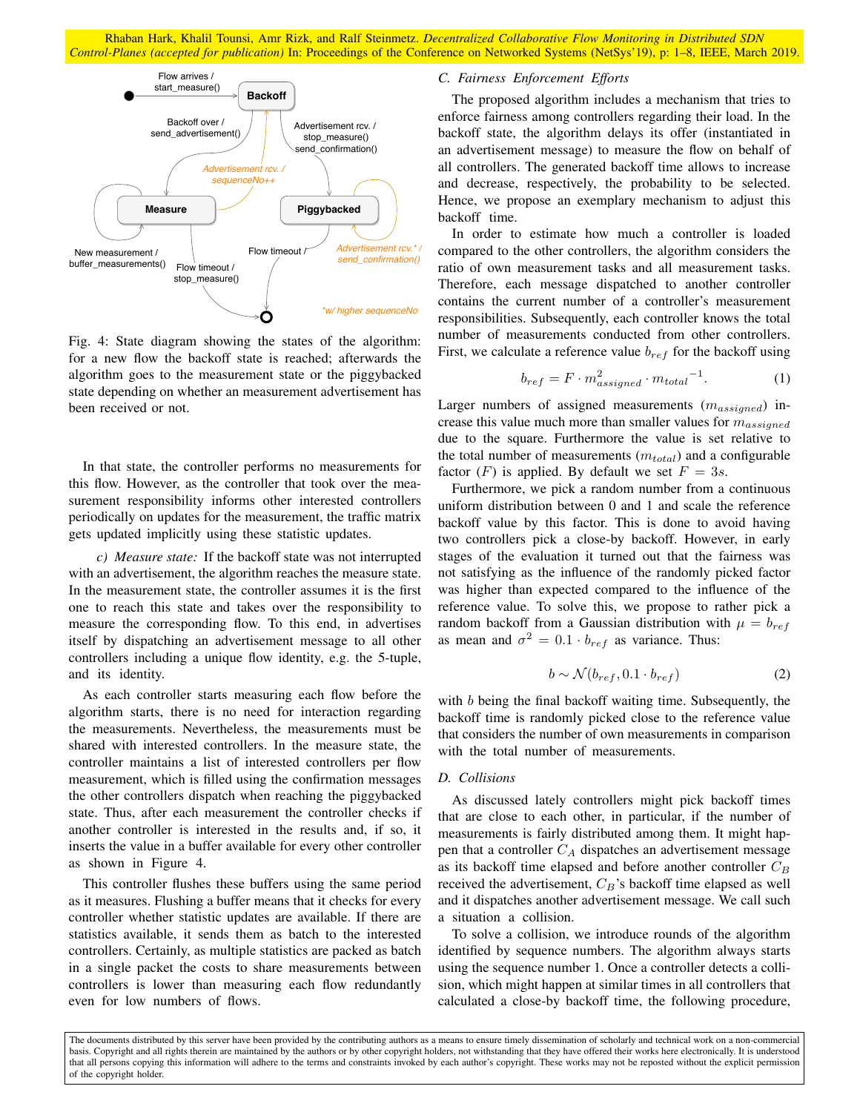

Fig. 4: State diagram showing the states of the algorithm: for a new flow the backoff state is reached; afterwards the algorithm goes to the measurement state or the piggybacked state depending on whether an measurement advertisement has been received or not.

In that state, the controller performs no measurements for this flow. However, as the controller that took over the measurement responsibility informs other interested controllers periodically on updates for the measurement, the traffic matrix gets updated implicitly using these statistic updates.

*c) Measure state:* If the backoff state was not interrupted with an advertisement, the algorithm reaches the measure state. In the measurement state, the controller assumes it is the first one to reach this state and takes over the responsibility to measure the corresponding flow. To this end, in advertises itself by dispatching an advertisement message to all other controllers including a unique flow identity, e.g. the 5-tuple, and its identity.

As each controller starts measuring each flow before the algorithm starts, there is no need for interaction regarding the measurements. Nevertheless, the measurements must be shared with interested controllers. In the measure state, the controller maintains a list of interested controllers per flow measurement, which is filled using the confirmation messages the other controllers dispatch when reaching the piggybacked state. Thus, after each measurement the controller checks if another controller is interested in the results and, if so, it inserts the value in a buffer available for every other controller as shown in Figure 4.

This controller flushes these buffers using the same period as it measures. Flushing a buffer means that it checks for every controller whether statistic updates are available. If there are statistics available, it sends them as batch to the interested controllers. Certainly, as multiple statistics are packed as batch in a single packet the costs to share measurements between controllers is lower than measuring each flow redundantly even for low numbers of flows.

## *C. Fairness Enforcement Efforts*

The proposed algorithm includes a mechanism that tries to enforce fairness among controllers regarding their load. In the backoff state, the algorithm delays its offer (instantiated in an advertisement message) to measure the flow on behalf of all controllers. The generated backoff time allows to increase and decrease, respectively, the probability to be selected. Hence, we propose an exemplary mechanism to adjust this backoff time.

In order to estimate how much a controller is loaded compared to the other controllers, the algorithm considers the ratio of own measurement tasks and all measurement tasks. Therefore, each message dispatched to another controller contains the current number of a controller's measurement responsibilities. Subsequently, each controller knows the total number of measurements conducted from other controllers. First, we calculate a reference value  $b_{ref}$  for the backoff using

$$
b_{ref} = F \cdot m_{assigned}^2 \cdot m_{total}^{-1}.
$$
 (1)

Larger numbers of assigned measurements  $(m_{assigned})$  increase this value much more than smaller values for  $m_{assigned}$ due to the square. Furthermore the value is set relative to the total number of measurements  $(m_{total})$  and a configurable factor  $(F)$  is applied. By default we set  $F = 3s$ .

Furthermore, we pick a random number from a continuous uniform distribution between 0 and 1 and scale the reference backoff value by this factor. This is done to avoid having two controllers pick a close-by backoff. However, in early stages of the evaluation it turned out that the fairness was not satisfying as the influence of the randomly picked factor was higher than expected compared to the influence of the reference value. To solve this, we propose to rather pick a random backoff from a Gaussian distribution with  $\mu = b_{ref}$ as mean and  $\sigma^2 = 0.1 \cdot b_{ref}$  as variance. Thus:

$$
b \sim \mathcal{N}(b_{ref}, 0.1 \cdot b_{ref}) \tag{2}
$$

with b being the final backoff waiting time. Subsequently, the backoff time is randomly picked close to the reference value that considers the number of own measurements in comparison with the total number of measurements.

### *D. Collisions*

As discussed lately controllers might pick backoff times that are close to each other, in particular, if the number of measurements is fairly distributed among them. It might happen that a controller  $C_A$  dispatches an advertisement message as its backoff time elapsed and before another controller  $C_B$ received the advertisement,  $C_B$ 's backoff time elapsed as well and it dispatches another advertisement message. We call such a situation a collision.

To solve a collision, we introduce rounds of the algorithm identified by sequence numbers. The algorithm always starts using the sequence number 1. Once a controller detects a collision, which might happen at similar times in all controllers that calculated a close-by backoff time, the following procedure,

The documents distributed by this server have been provided by the contributing authors as a means to ensure timely dissemination of scholarly and technical work on a non-commercial basis. Copyright and all rights therein are maintained by the authors or by other copyright holders, not withstanding that they have offered their works here electronically. It is understood that all persons copying this information will adhere to the terms and constraints invoked by each author's copyright. These works may not be reposted without the explicit permission of the copyright holder.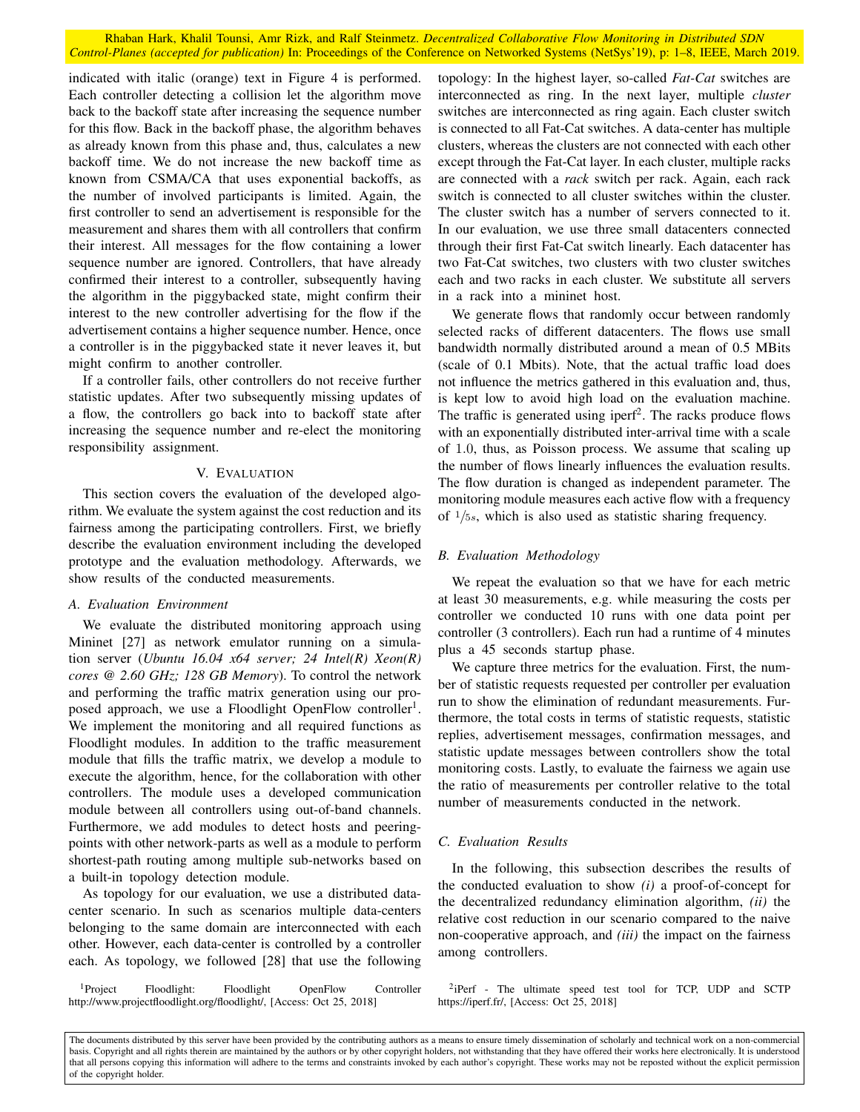indicated with italic (orange) text in Figure 4 is performed. Each controller detecting a collision let the algorithm move back to the backoff state after increasing the sequence number for this flow. Back in the backoff phase, the algorithm behaves as already known from this phase and, thus, calculates a new backoff time. We do not increase the new backoff time as known from CSMA/CA that uses exponential backoffs, as the number of involved participants is limited. Again, the first controller to send an advertisement is responsible for the measurement and shares them with all controllers that confirm their interest. All messages for the flow containing a lower sequence number are ignored. Controllers, that have already confirmed their interest to a controller, subsequently having the algorithm in the piggybacked state, might confirm their interest to the new controller advertising for the flow if the advertisement contains a higher sequence number. Hence, once a controller is in the piggybacked state it never leaves it, but might confirm to another controller.

If a controller fails, other controllers do not receive further statistic updates. After two subsequently missing updates of a flow, the controllers go back into to backoff state after increasing the sequence number and re-elect the monitoring responsibility assignment.

#### V. EVALUATION

This section covers the evaluation of the developed algorithm. We evaluate the system against the cost reduction and its fairness among the participating controllers. First, we briefly describe the evaluation environment including the developed prototype and the evaluation methodology. Afterwards, we show results of the conducted measurements.

## *A. Evaluation Environment*

We evaluate the distributed monitoring approach using Mininet [27] as network emulator running on a simulation server (*Ubuntu 16.04 x64 server; 24 Intel(R) Xeon(R) cores @ 2.60 GHz; 128 GB Memory*). To control the network and performing the traffic matrix generation using our proposed approach, we use a Floodlight OpenFlow controller<sup>1</sup>. We implement the monitoring and all required functions as Floodlight modules. In addition to the traffic measurement module that fills the traffic matrix, we develop a module to execute the algorithm, hence, for the collaboration with other controllers. The module uses a developed communication module between all controllers using out-of-band channels. Furthermore, we add modules to detect hosts and peeringpoints with other network-parts as well as a module to perform shortest-path routing among multiple sub-networks based on a built-in topology detection module.

As topology for our evaluation, we use a distributed datacenter scenario. In such as scenarios multiple data-centers belonging to the same domain are interconnected with each other. However, each data-center is controlled by a controller each. As topology, we followed [28] that use the following

<sup>1</sup>Project Floodlight: Floodlight OpenFlow Controller http://www.projectfloodlight.org/floodlight/, [Access: Oct 25, 2018]

topology: In the highest layer, so-called *Fat-Cat* switches are interconnected as ring. In the next layer, multiple *cluster* switches are interconnected as ring again. Each cluster switch is connected to all Fat-Cat switches. A data-center has multiple clusters, whereas the clusters are not connected with each other except through the Fat-Cat layer. In each cluster, multiple racks are connected with a *rack* switch per rack. Again, each rack switch is connected to all cluster switches within the cluster. The cluster switch has a number of servers connected to it. In our evaluation, we use three small datacenters connected through their first Fat-Cat switch linearly. Each datacenter has two Fat-Cat switches, two clusters with two cluster switches each and two racks in each cluster. We substitute all servers in a rack into a mininet host.

We generate flows that randomly occur between randomly selected racks of different datacenters. The flows use small bandwidth normally distributed around a mean of 0.5 MBits (scale of 0.1 Mbits). Note, that the actual traffic load does not influence the metrics gathered in this evaluation and, thus, is kept low to avoid high load on the evaluation machine. The traffic is generated using iperf<sup>2</sup>. The racks produce flows with an exponentially distributed inter-arrival time with a scale of 1.0, thus, as Poisson process. We assume that scaling up the number of flows linearly influences the evaluation results. The flow duration is changed as independent parameter. The monitoring module measures each active flow with a frequency of <sup>1</sup>/<sup>5</sup>s, which is also used as statistic sharing frequency.

## *B. Evaluation Methodology*

We repeat the evaluation so that we have for each metric at least 30 measurements, e.g. while measuring the costs per controller we conducted 10 runs with one data point per controller (3 controllers). Each run had a runtime of 4 minutes plus a 45 seconds startup phase.

We capture three metrics for the evaluation. First, the number of statistic requests requested per controller per evaluation run to show the elimination of redundant measurements. Furthermore, the total costs in terms of statistic requests, statistic replies, advertisement messages, confirmation messages, and statistic update messages between controllers show the total monitoring costs. Lastly, to evaluate the fairness we again use the ratio of measurements per controller relative to the total number of measurements conducted in the network.

## *C. Evaluation Results*

In the following, this subsection describes the results of the conducted evaluation to show *(i)* a proof-of-concept for the decentralized redundancy elimination algorithm, *(ii)* the relative cost reduction in our scenario compared to the naive non-cooperative approach, and *(iii)* the impact on the fairness among controllers.

<sup>2</sup>iPerf - The ultimate speed test tool for TCP, UDP and SCTP https://iperf.fr/, [Access: Oct 25, 2018]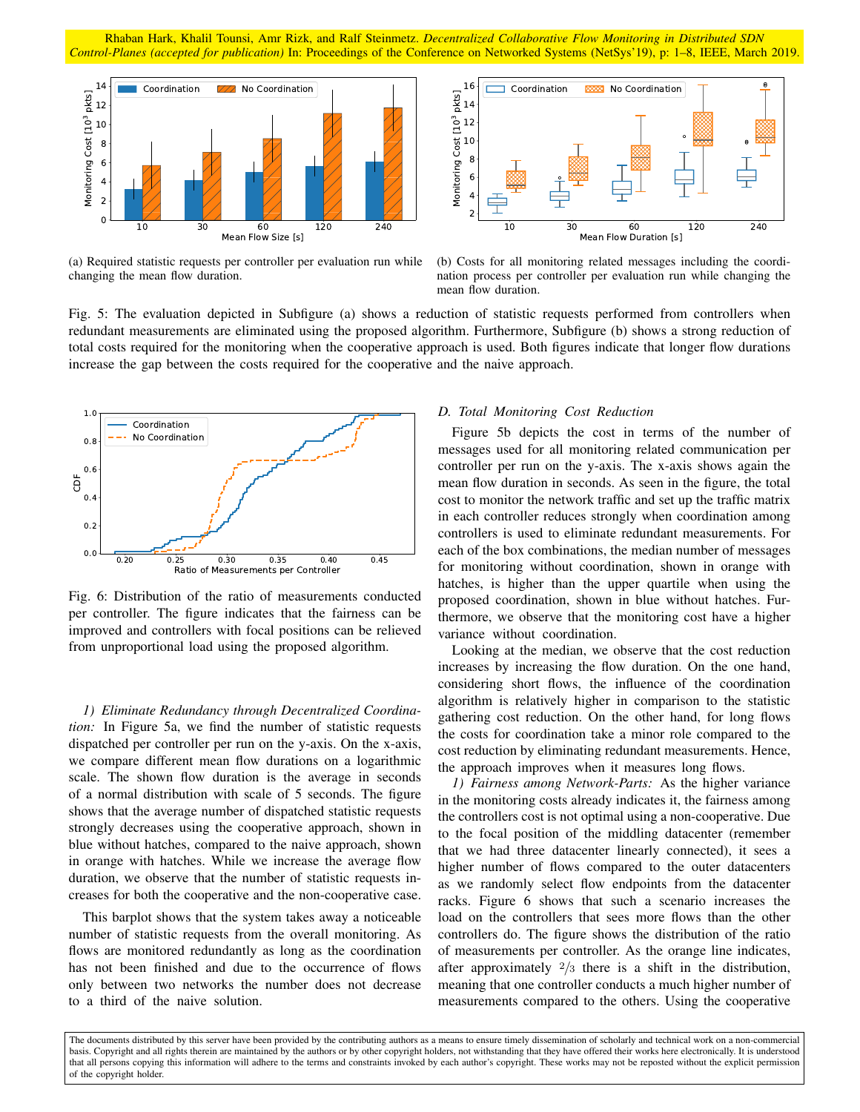

(a) Required statistic requests per controller per evaluation run while changing the mean flow duration.



(b) Costs for all monitoring related messages including the coordination process per controller per evaluation run while changing the mean flow duration.

Fig. 5: The evaluation depicted in Subfigure (a) shows a reduction of statistic requests performed from controllers when redundant measurements are eliminated using the proposed algorithm. Furthermore, Subfigure (b) shows a strong reduction of total costs required for the monitoring when the cooperative approach is used. Both figures indicate that longer flow durations increase the gap between the costs required for the cooperative and the naive approach.



Fig. 6: Distribution of the ratio of measurements conducted per controller. The figure indicates that the fairness can be improved and controllers with focal positions can be relieved from unproportional load using the proposed algorithm.

*1) Eliminate Redundancy through Decentralized Coordination:* In Figure 5a, we find the number of statistic requests dispatched per controller per run on the y-axis. On the x-axis, we compare different mean flow durations on a logarithmic scale. The shown flow duration is the average in seconds of a normal distribution with scale of 5 seconds. The figure shows that the average number of dispatched statistic requests strongly decreases using the cooperative approach, shown in blue without hatches, compared to the naive approach, shown in orange with hatches. While we increase the average flow duration, we observe that the number of statistic requests increases for both the cooperative and the non-cooperative case.

This barplot shows that the system takes away a noticeable number of statistic requests from the overall monitoring. As flows are monitored redundantly as long as the coordination has not been finished and due to the occurrence of flows only between two networks the number does not decrease to a third of the naive solution.

#### *D. Total Monitoring Cost Reduction*

Figure 5b depicts the cost in terms of the number of messages used for all monitoring related communication per controller per run on the y-axis. The x-axis shows again the mean flow duration in seconds. As seen in the figure, the total cost to monitor the network traffic and set up the traffic matrix in each controller reduces strongly when coordination among controllers is used to eliminate redundant measurements. For each of the box combinations, the median number of messages for monitoring without coordination, shown in orange with hatches, is higher than the upper quartile when using the proposed coordination, shown in blue without hatches. Furthermore, we observe that the monitoring cost have a higher variance without coordination.

Looking at the median, we observe that the cost reduction increases by increasing the flow duration. On the one hand, considering short flows, the influence of the coordination algorithm is relatively higher in comparison to the statistic gathering cost reduction. On the other hand, for long flows the costs for coordination take a minor role compared to the cost reduction by eliminating redundant measurements. Hence, the approach improves when it measures long flows.

*1) Fairness among Network-Parts:* As the higher variance in the monitoring costs already indicates it, the fairness among the controllers cost is not optimal using a non-cooperative. Due to the focal position of the middling datacenter (remember that we had three datacenter linearly connected), it sees a higher number of flows compared to the outer datacenters as we randomly select flow endpoints from the datacenter racks. Figure 6 shows that such a scenario increases the load on the controllers that sees more flows than the other controllers do. The figure shows the distribution of the ratio of measurements per controller. As the orange line indicates, after approximately  $\frac{2}{3}$  there is a shift in the distribution, meaning that one controller conducts a much higher number of measurements compared to the others. Using the cooperative